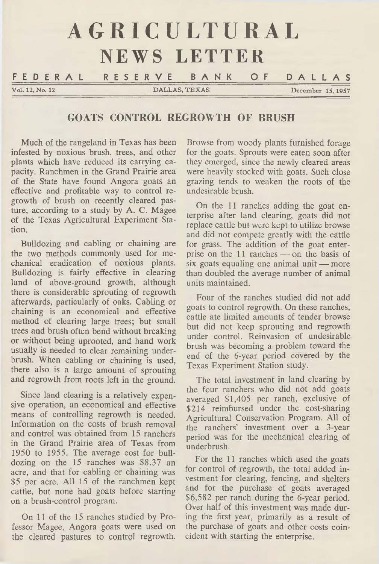|                 | AGRICULTURAL                   |                   |
|-----------------|--------------------------------|-------------------|
|                 | NEWS LETTER                    |                   |
|                 | FEDERAL RESERVE BANK OF DALLAS |                   |
| Vol. 12, No. 12 | DALLAS, TEXAS                  | December 15, 1957 |

# **GOATS CONTROL REGROWTH OF BRUSH**

Much of the rangeland in Texas has been infested by noxious brush, trees, and other plants which have reduced its carrying capacity. Ranchmen in the Grand Prairie area of the State have found Angora goats an effective and profitable way to control regrowth of brush on recently cleared pasture, according to a study by A. C. Magee of the Texas Agricultural Experiment Station.

Bulldozing and cabling or chaining are the two methods commonly used for mechanical eradication of noxious plants. Bulldozing is fairly effective in clearing land of above-ground growth, although there is considerable sprouting of regrowth afterwards, particularly of oaks. Cabling or chaining is an economical and effective method of clearing large trees; but small trees and brush often bend without breaking or without being uprooted, and hand work usually is needed to clear remaining underbrush. When cabling or chaining is used, there also is a large amount of sprouting and regrowth from roots left in the ground.

Since land clearing is a relatively expensive operation, an economical and effective means of controlling regrowth is needed. Information on the costs of brush removal and control was obtained from 15 ranchers in the Grand Prairie area of Texas from 1950 to 1955. The average cost for bulldozing on the 15 ranches was \$8.37 an acre, and that for cabling or chaining was \$5 per acre. All 15 of the ranchmen kept cattle, but none had goats before starting on a brush-control program.

On 11 of the 15 ranches studied by Professor Magee, Angora goats were used on the cleared pastures to control regrowth.

Browse from woody plants furnished forage for the goats. Sprouts were eaten soon after they emerged, since the newly cleared areas were heavily stocked with goats. Such close grazing tends to weaken the roots of the undesirable brush.

On the 11 ranches adding the goat enterprise after land clearing, goats did not replace cattle but were kept to utilize browse and did not compete greatly with the cattle for grass. The addition of the goat enterprise on the 11 ranches — on the basis of six goats equaling one animal unit — more than doubled the average number of animal units maintained.

Four of the ranches studied did not add goats to control regrowth. On these ranches, cattle ate limited amounts of tender browse but did not keep sprouting and regrowth under control. Reinvasion of undesirable brush was becoming a problem toward the end of the 6-year period covered by the Texas Experiment Station study.

The total investment in land clearing by the four ranchers who did not add goats averaged \$1,405 per ranch, exclusive of \$214 reimbursed under the cost-sharing Agricultural Conservation Program. All of the ranchers' investment over a 3-year period was for the mechanical clearing of underbrush.

For the 11 ranches which used the goats for control of regrowth, the total added investment for clearing, fencing, and shelters and for the purchase of goats averaged \$6,582 per ranch during the 6-year period. Over half of this investment was made during the first year, primarily as a result of the purchase of goats and other costs coincident with starting the enterprise.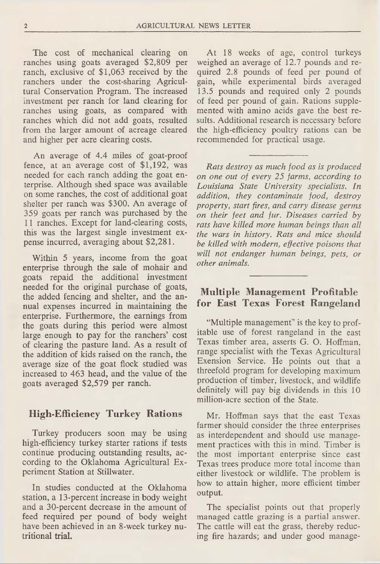The cost of mechanical clearing on ranches using goats averaged \$2,809 per ranch, exclusive of \$1,063 received by the ranchers under the cost-sharing Agricultural Conservation Program. The increased investment per ranch for land clearing for ranches using goats, as compared with ranches which did not add goats, resulted from the larger amount of acreage cleared and higher per acre clearing costs.

An average of 4.4 miles of goat-proof fence, at an average cost of \$1,192, was needed for each ranch adding the goat enterprise. Although shed space was available on some ranches, the cost of additional goat shelter per ranch was \$300. An average of 359 goats per ranch was purchased by the 11 ranches. Except for land-clearing costs, this was the largest single investment expense incurred, averaging about \$2,281.

Within 5 years, income from the goat enterprise through the sale of mohair and goats repaid the additional investment needed for the original purchase of goats, the added fencing and shelter, and the annual expenses incurred in maintaining the enterprise. Furthermore, the earnings from the goats during this period were almost large enough to pay for the ranchers' cost of clearing the pasture land. As a result of the addition of kids raised on the ranch, the average size of the goat flock studied was increased to 463 head, and the value of the goats averaged \$2,579 per ranch.

### **High-Efficiency Turkey Rations**

Turkey producers soon may be using high-efficiency turkey starter rations if tests continue producing outstanding results, according to the Oklahoma Agricultural Experiment Station at Stillwater.

In studies conducted at the Oklahoma station, a 13-percent increase in body weight and a 30-percent decrease in the amount of feed required per pound of body weight have been achieved in an 8-week turkey nutritional trial.

At 18 weeks of age, control turkeys weighed an average of 12.7 pounds and required 2.8 pounds of feed per pound of gain, while experimental birds averaged 13.5 pounds and required only 2 pounds of feed per pound of gain. Rations supplemented with amino acids gave the best results. Additional research is necessary before the high-efficiency poultry rations can be recommended for practical usage.

*Rats destroy as much food as is produced on one out of every 25 farms, according to Louisiana State University specialists. In addition, they contaminate food, destroy property, start fires, and carry disease germs on their feet and fur. Diseases carried by rats have killed more human beings than all the wars in history. Rats and mice should be killed with modern, effective poisons that will not endanger human beings, pets, or other animals.*

# **Multiple Management Profitable for East Texas Forest Rangeland**

"Multiple management" is the key to profitable use of forest rangeland in the east Texas timber area, asserts G. O. Hoffman, range specialist with the Texas Agricultural Exension Service. He points out that a threefold program for developing maximum production of timber, livestock, and wildlife definitely will pay big dividends in this 10 million-acre section of the State.

Mr. Hoffman says that the east Texas farmer should consider the three enterprises as interdependent and should use management practices with this in mind. Timber is the most important enterprise since east Texas trees produce more total income than either livestock or wildlife. The problem is how to attain higher, more efficient timber output.

The specialist points out that properly managed cattle grazing is a partial answer. The cattle will eat the grass, thereby reducing fire hazards; and under good manage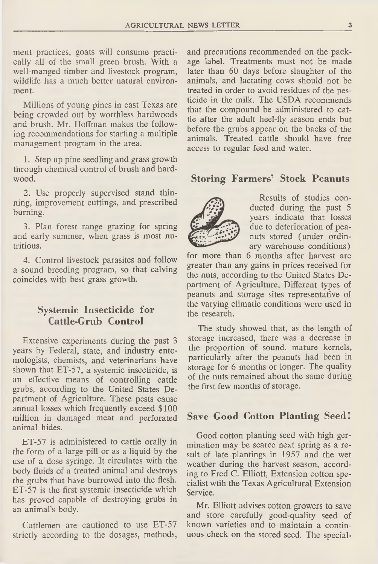ment practices, goats will consume practically all of the small green brush. With a well-manged timber and livestock program, wildlife has a much better natural environment.

Millions of young pines in east Texas are being crowded out by worthless hardwoods and brush. Mr. Hoffman makes the following recommendations for starting a multiple management program in the area.

1. Step up pine seedling and grass growth through chemical control of brush and hardwood.

2. Use properly supervised stand thinning, improvement cuttings, and prescribed burning.

3. Plan forest range grazing for spring and early summer, when grass is most nutritious.

4. Control livestock parasites and follow a sound breeding program, so that calving coincides with best grass growth.

# **Systemic Insecticide for Cattle-Grub Control**

Extensive experiments during the past 3 years by Federal, state, and industry entomologists, chemists, and veterinarians have shown that ET-57, a systemic insecticide, is an effective means of controlling cattle grubs, according to the United States Department of Agriculture. These pests cause annual losses which frequently exceed \$100 million in damaged meat and perforated animal hides.

ET-57 is administered to cattle orally in the form of a large pill or as a liquid by the use of a dose syringe. It circulates with the body fluids of a treated animal and destroys the grubs that have burrowed into the flesh. ET-57 is the first systemic insecticide which has proved capable of destroying grubs in an animal's body.

Cattlemen are cautioned to use ET-57 strictly according to the dosages, methods, and precautions recommended on the package label. Treatments must not be made later than 60 days before slaughter of the animals, and lactating cows should not be treated in order to avoid residues of the pesticide in the milk. The USDA recommends that the compound be administered to cattle after the adult heel-fly season ends but before the grubs appear on the backs of the animals. Treated cattle should have free access to regular feed and water.

#### **Storing Farmers' Stock Peanuts**



Results of studies conducted during the past 5 years indicate that losses due to deterioration of peanuts stored (under ordinary warehouse conditions)

for more than 6 months after harvest are greater than any gains in prices received for the nuts, according to the United States Department of Agriculture. Different types of peanuts and storage sites representative of the varying climatic conditions were used in the research.

The study showed that, as the length of storage increased, there was a decrease in the proportion of sound, mature kernels, particularly after the peanuts had been in storage for 6 months or longer. The quality of the nuts remained about the same during the first few months of storage.

#### **Save Good Cotton Planting Seed!**

Good cotton planting seed with high germination may be scarce next spring as a result of late plantings in 1957 and the wet weather during the harvest season, according to Fred C. Elliott, Extension cotton specialist wtih the Texas Agricultural Extension Service.

Mr. Elliott advises cotton growers to save and store carefully good-quality seed of known varieties and to maintain a continuous check on the stored seed. The special